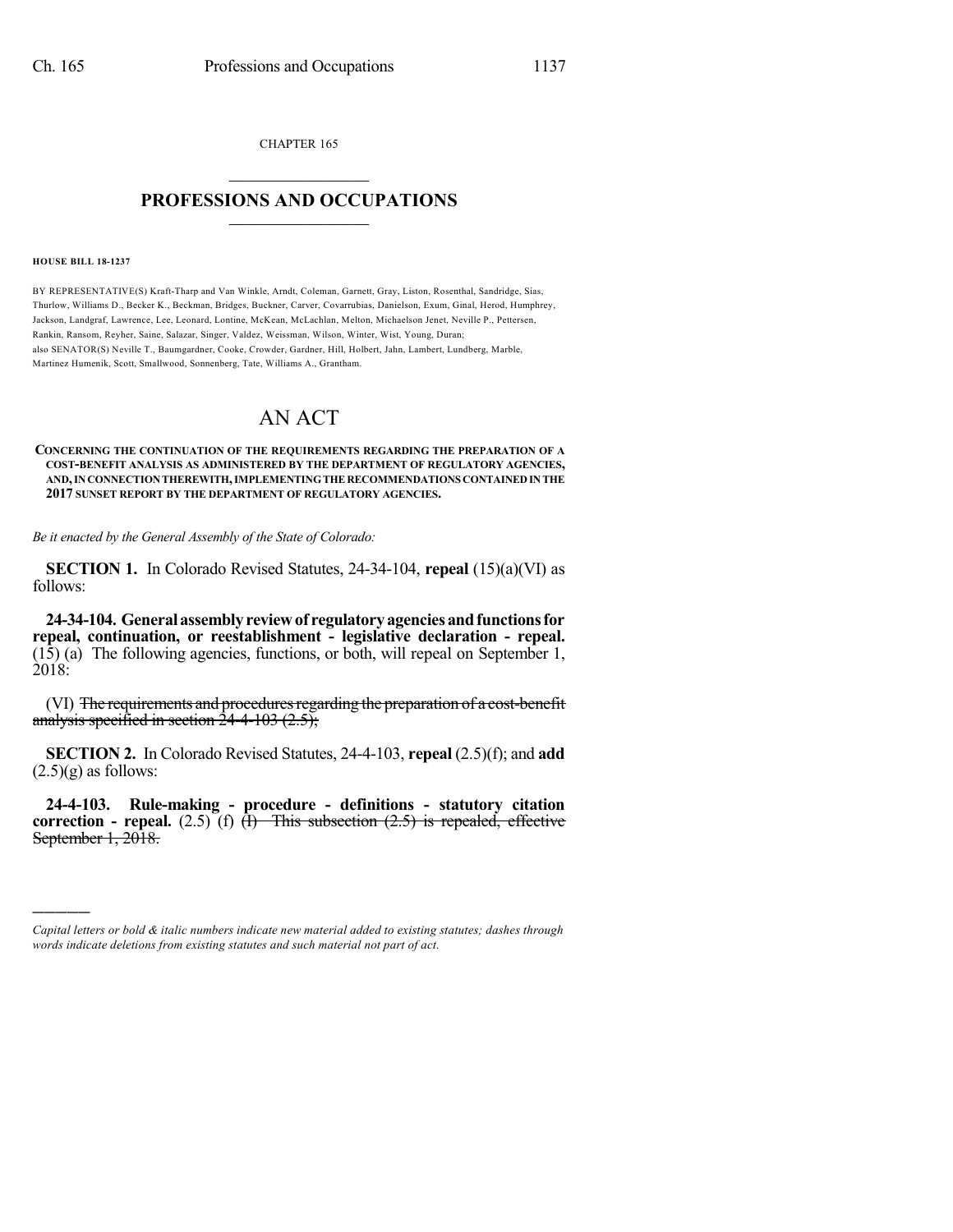CHAPTER 165  $\mathcal{L}_\text{max}$  . The set of the set of the set of the set of the set of the set of the set of the set of the set of the set of the set of the set of the set of the set of the set of the set of the set of the set of the set

## **PROFESSIONS AND OCCUPATIONS**  $\frac{1}{2}$  ,  $\frac{1}{2}$  ,  $\frac{1}{2}$  ,  $\frac{1}{2}$  ,  $\frac{1}{2}$  ,  $\frac{1}{2}$  ,  $\frac{1}{2}$

**HOUSE BILL 18-1237**

)))))

BY REPRESENTATIVE(S) Kraft-Tharp and Van Winkle, Arndt, Coleman, Garnett, Gray, Liston, Rosenthal, Sandridge, Sias, Thurlow, Williams D., Becker K., Beckman, Bridges, Buckner, Carver, Covarrubias, Danielson, Exum, Ginal, Herod, Humphrey, Jackson, Landgraf, Lawrence, Lee, Leonard, Lontine, McKean, McLachlan, Melton, Michaelson Jenet, Neville P., Pettersen, Rankin, Ransom, Reyher, Saine, Salazar, Singer, Valdez, Weissman, Wilson, Winter, Wist, Young, Duran; also SENATOR(S) Neville T., Baumgardner, Cooke, Crowder, Gardner, Hill, Holbert, Jahn, Lambert, Lundberg, Marble, Martinez Humenik, Scott, Smallwood, Sonnenberg, Tate, Williams A., Grantham.

## AN ACT

## **CONCERNING THE CONTINUATION OF THE REQUIREMENTS REGARDING THE PREPARATION OF A COST-BENEFIT ANALYSIS AS ADMINISTERED BY THE DEPARTMENT OF REGULATORY AGENCIES, AND,INCONNECTIONTHEREWITH,IMPLEMENTINGTHERECOMMENDATIONS CONTAINEDINTHE 2017 SUNSET REPORT BY THE DEPARTMENT OF REGULATORY AGENCIES.**

*Be it enacted by the General Assembly of the State of Colorado:*

**SECTION 1.** In Colorado Revised Statutes, 24-34-104, **repeal** (15)(a)(VI) as follows:

**24-34-104. General assemblyreviewof regulatoryagenciesandfunctionsfor repeal, continuation, or reestablishment - legislative declaration - repeal.** (15) (a) The following agencies, functions, or both, will repeal on September 1, 2018:

(VI) The requirements and procedures regarding the preparation of a cost-benefit analysis specified in section  $24-4-103$  (2.5);

**SECTION 2.** In Colorado Revised Statutes, 24-4-103, **repeal** (2.5)(f); and **add**  $(2.5)(g)$  as follows:

**24-4-103. Rule-making - procedure - definitions - statutory citation correction - repeal.** (2.5) (f)  $\overline{(1)}$  This subsection (2.5) is repealed, effective September 1, 2018.

*Capital letters or bold & italic numbers indicate new material added to existing statutes; dashes through words indicate deletions from existing statutes and such material not part of act.*